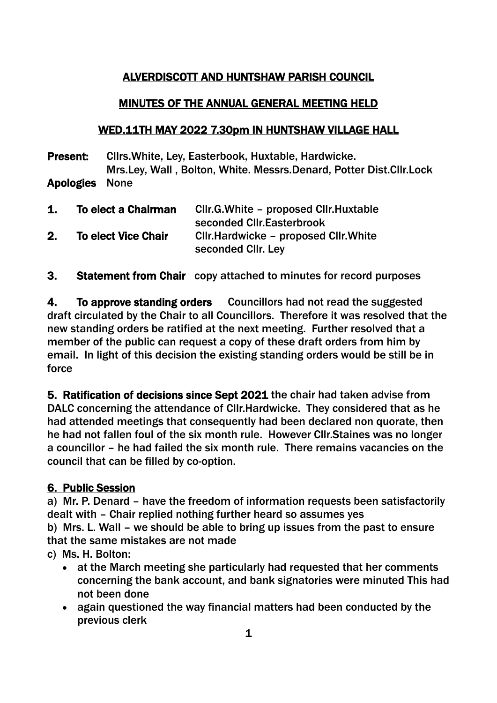## ALVERDISCOTT AND HUNTSHAW PARISH COUNCIL

### MINUTES OF THE ANNUAL GENERAL MEETING HELD

### WED.11TH MAY 2022 7.30pm IN HUNTSHAW VILLAGE HALL

Present: Cllrs.White, Ley, Easterbook, Huxtable, Hardwicke. Mrs.Ley, Wall , Bolton, White. Messrs.Denard, Potter Dist.Cllr.Lock Apologies None

| 1. | To elect a Chairman        | Cllr.G.White – proposed Cllr.Huxtable<br>seconded Cllr. Easterbrook |
|----|----------------------------|---------------------------------------------------------------------|
| 2. | <b>To elect Vice Chair</b> | CIIr. Hardwicke – proposed CIIr. White<br>seconded CIIr. Ley        |

3. Statement from Chair copy attached to minutes for record purposes

4. To approve standing orders Councillors had not read the suggested draft circulated by the Chair to all Councillors. Therefore it was resolved that the new standing orders be ratified at the next meeting. Further resolved that a member of the public can request a copy of these draft orders from him by email. In light of this decision the existing standing orders would be still be in force

5. Ratification of decisions since Sept 2021 the chair had taken advise from DALC concerning the attendance of Cllr.Hardwicke. They considered that as he had attended meetings that consequently had been declared non quorate, then he had not fallen foul of the six month rule. However Cllr.Staines was no longer a councillor – he had failed the six month rule. There remains vacancies on the council that can be filled by co-option.

### 6. Public Session

a) Mr. P. Denard – have the freedom of information requests been satisfactorily dealt with – Chair replied nothing further heard so assumes yes

b) Mrs. L. Wall – we should be able to bring up issues from the past to ensure that the same mistakes are not made

### c) Ms. H. Bolton:

- at the March meeting she particularly had requested that her comments concerning the bank account, and bank signatories were minuted This had not been done
- again questioned the way financial matters had been conducted by the previous clerk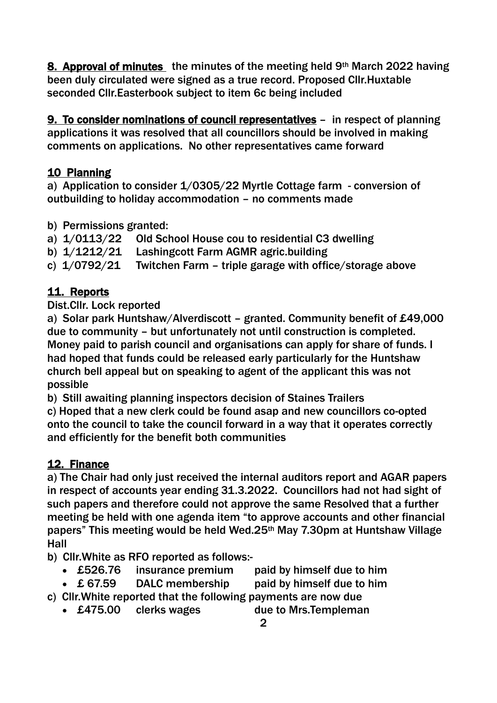8. Approval of minutes the minutes of the meeting held 9th March 2022 having been duly circulated were signed as a true record. Proposed Cllr.Huxtable seconded Cllr.Easterbook subject to item 6c being included

9. To consider nominations of council representatives – in respect of planning applications it was resolved that all councillors should be involved in making comments on applications. No other representatives came forward

### 10 Planning

a) Application to consider 1/0305/22 Myrtle Cottage farm - conversion of outbuilding to holiday accommodation – no comments made

- b) Permissions granted:
- a) 1/0113/22 Old School House cou to residential C3 dwelling
- b) 1/1212/21 Lashingcott Farm AGMR agric.building
- c) 1/0792/21 Twitchen Farm triple garage with office/storage above

# 11. Reports

Dist.Cllr. Lock reported

a) Solar park Huntshaw/Alverdiscott – granted. Community benefit of £49,000 due to community – but unfortunately not until construction is completed. Money paid to parish council and organisations can apply for share of funds. I had hoped that funds could be released early particularly for the Huntshaw church bell appeal but on speaking to agent of the applicant this was not possible

b) Still awaiting planning inspectors decision of Staines Trailers

c) Hoped that a new clerk could be found asap and new councillors co-opted onto the council to take the council forward in a way that it operates correctly and efficiently for the benefit both communities

# 12. Finance

a) The Chair had only just received the internal auditors report and AGAR papers in respect of accounts year ending 31.3.2022. Councillors had not had sight of such papers and therefore could not approve the same Resolved that a further meeting be held with one agenda item "to approve accounts and other financial papers" This meeting would be held Wed.25th May 7.30pm at Huntshaw Village Hall

b) Cllr.White as RFO reported as follows:-

- £526.76 insurance premium paid by himself due to him
- £ 67.59 DALC membership paid by himself due to him
- c) Cllr.White reported that the following payments are now due
	- £475.00 clerks wages due to Mrs.Templeman